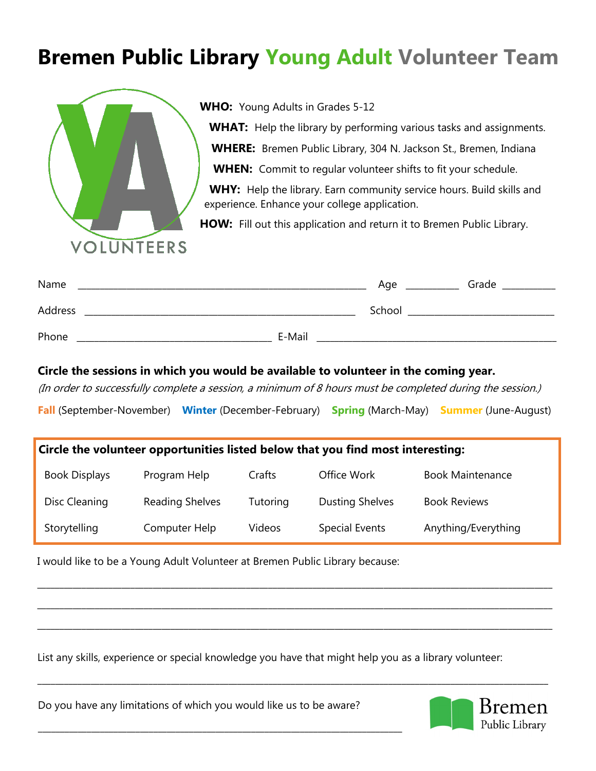# **Bremen Public Library Young Adult Volunteer Team**



**WHO:** Young Adults in Grades 5-12

WHAT: Help the library by performing various tasks and assignments.

**WHERE:** Bremen Public Library, 304 N. Jackson St., Bremen, Indiana

**WHEN:** Commit to regular volunteer shifts to fit your schedule.

WHY: Help the library. Earn community service hours. Build skills and experience. Enhance your college application.

**HOW:** Fill out this application and return it to Bremen Public Library.

| Name    |        | Age    | Grade |
|---------|--------|--------|-------|
| Address |        | School |       |
| Phone   | E-Mail |        |       |

#### **Circle the sessions in which you would be available to volunteer in the coming year.**

(In order to successfully complete a session, a minimum of 8 hours must be completed during the session.)

**Fall** (September-November) **Winter** (December-February) **Spring** (March-May) **Summer** (June-August)

#### **Circle the volunteer opportunities listed below that you find most interesting:**

| <b>Book Displays</b> | Program Help    | Crafts   | Office Work            | <b>Book Maintenance</b> |
|----------------------|-----------------|----------|------------------------|-------------------------|
| Disc Cleaning        | Reading Shelves | Tutoring | <b>Dusting Shelves</b> | <b>Book Reviews</b>     |
| Storytelling         | Computer Help   | Videos   | Special Events         | Anything/Everything     |

\_\_\_\_\_\_\_\_\_\_\_\_\_\_\_\_\_\_\_\_\_\_\_\_\_\_\_\_\_\_\_\_\_\_\_\_\_\_\_\_\_\_\_\_\_\_\_\_\_\_\_\_\_\_\_\_\_\_\_\_\_\_\_\_\_\_\_\_\_\_\_\_\_\_\_\_\_\_\_\_\_\_\_\_\_\_\_\_\_\_\_\_\_\_\_\_\_\_\_\_\_\_\_\_\_\_\_\_\_\_\_\_\_\_\_\_

\_\_\_\_\_\_\_\_\_\_\_\_\_\_\_\_\_\_\_\_\_\_\_\_\_\_\_\_\_\_\_\_\_\_\_\_\_\_\_\_\_\_\_\_\_\_\_\_\_\_\_\_\_\_\_\_\_\_\_\_\_\_\_\_\_\_\_\_\_\_\_\_\_\_\_\_\_\_\_\_\_\_\_\_\_\_\_\_\_\_\_\_\_\_\_\_\_\_\_\_\_\_\_\_\_\_\_\_\_\_\_\_\_\_\_\_

\_\_\_\_\_\_\_\_\_\_\_\_\_\_\_\_\_\_\_\_\_\_\_\_\_\_\_\_\_\_\_\_\_\_\_\_\_\_\_\_\_\_\_\_\_\_\_\_\_\_\_\_\_\_\_\_\_\_\_\_\_\_\_\_\_\_\_\_\_\_\_\_\_\_\_\_\_\_\_\_\_\_\_\_\_\_\_\_\_\_\_\_\_\_\_\_\_\_\_\_\_\_\_\_\_\_\_\_\_\_\_\_\_\_\_\_

\_\_\_\_\_\_\_\_\_\_\_\_\_\_\_\_\_\_\_\_\_\_\_\_\_\_\_\_\_\_\_\_\_\_\_\_\_\_\_\_\_\_\_\_\_\_\_\_\_\_\_\_\_\_\_\_\_\_\_\_\_\_\_\_\_\_\_\_\_\_\_\_\_\_\_\_\_\_\_\_\_\_\_\_\_\_\_\_\_\_\_\_\_\_\_\_\_\_\_\_\_\_\_\_\_\_\_\_\_\_\_\_\_\_\_

I would like to be a Young Adult Volunteer at Bremen Public Library because:

List any skills, experience or special knowledge you have that might help you as a library volunteer:

Do you have any limitations of which you would like us to be aware?

\_\_\_\_\_\_\_\_\_\_\_\_\_\_\_\_\_\_\_\_\_\_\_\_\_\_\_\_\_\_\_\_\_\_\_\_\_\_\_\_\_\_\_\_\_\_\_\_\_\_\_\_\_\_\_\_\_\_\_\_\_\_\_\_\_\_\_\_\_\_\_\_\_\_\_\_\_\_\_\_\_\_